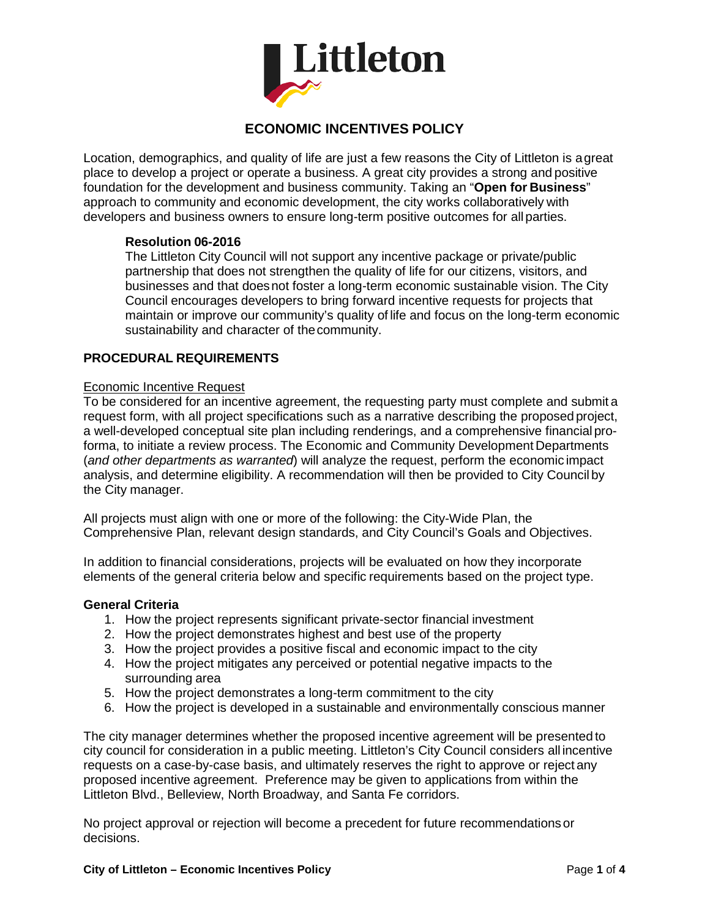

# **ECONOMIC INCENTIVES POLICY**

Location, demographics, and quality of life are just a few reasons the City of Littleton is agreat place to develop a project or operate a business. A great city provides a strong and positive foundation for the development and business community. Taking an "**Open for Business**" approach to community and economic development, the city works collaboratively with developers and business owners to ensure long-term positive outcomes for all parties.

## **Resolution 06-2016**

The Littleton City Council will not support any incentive package or private/public partnership that does not strengthen the quality of life for our citizens, visitors, and businesses and that doesnot foster a long-term economic sustainable vision. The City Council encourages developers to bring forward incentive requests for projects that maintain or improve our community's quality of life and focus on the long-term economic sustainability and character of thecommunity.

### **PROCEDURAL REQUIREMENTS**

### Economic Incentive Request

To be considered for an incentive agreement, the requesting party must complete and submit a request form, with all project specifications such as a narrative describing the proposed project, a well-developed conceptual site plan including renderings, and a comprehensive financial proforma, to initiate a review process. The Economic and Community Development Departments (*and other departments as warranted*) will analyze the request, perform the economic impact analysis, and determine eligibility. A recommendation will then be provided to City Council by the City manager.

All projects must align with one or more of the following: the City-Wide Plan, the Comprehensive Plan, relevant design standards, and City Council's Goals and Objectives.

In addition to financial considerations, projects will be evaluated on how they incorporate elements of the general criteria below and specific requirements based on the project type.

### **General Criteria**

- 1. How the project represents significant private-sector financial investment
- 2. How the project demonstrates highest and best use of the property
- 3. How the project provides a positive fiscal and economic impact to the city
- 4. How the project mitigates any perceived or potential negative impacts to the surrounding area
- 5. How the project demonstrates a long-term commitment to the city
- 6. How the project is developed in a sustainable and environmentally conscious manner

The city manager determines whether the proposed incentive agreement will be presented to city council for consideration in a public meeting. Littleton's City Council considers all incentive requests on a case-by-case basis, and ultimately reserves the right to approve or reject any proposed incentive agreement. Preference may be given to applications from within the Littleton Blvd., Belleview, North Broadway, and Santa Fe corridors.

No project approval or rejection will become a precedent for future recommendationsor decisions.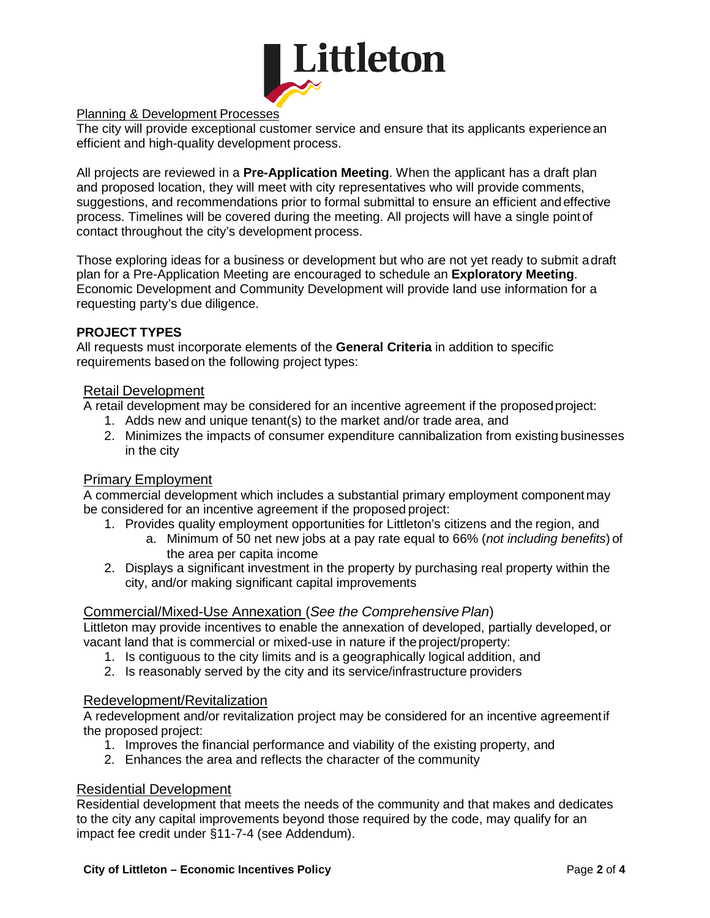

## Planning & Development Processes

The city will provide exceptional customer service and ensure that its applicants experiencean efficient and high-quality development process.

All projects are reviewed in a **Pre-Application Meeting**. When the applicant has a draft plan and proposed location, they will meet with city representatives who will provide comments, suggestions, and recommendations prior to formal submittal to ensure an efficient andeffective process. Timelines will be covered during the meeting. All projects will have a single point of contact throughout the city's development process.

Those exploring ideas for a business or development but who are not yet ready to submit adraft plan for a Pre-Application Meeting are encouraged to schedule an **Exploratory Meeting**. Economic Development and Community Development will provide land use information for a requesting party's due diligence.

## **PROJECT TYPES**

All requests must incorporate elements of the **General Criteria** in addition to specific requirements basedon the following project types:

### Retail Development

A retail development may be considered for an incentive agreement if the proposedproject:

- 1. Adds new and unique tenant(s) to the market and/or trade area, and
- 2. Minimizes the impacts of consumer expenditure cannibalization from existing businesses in the city

## Primary Employment

A commercial development which includes a substantial primary employment component may be considered for an incentive agreement if the proposed project:

- 1. Provides quality employment opportunities for Littleton's citizens and the region, and
	- a. Minimum of 50 net new jobs at a pay rate equal to 66% (*not including benefits*) of the area per capita income
- 2. Displays a significant investment in the property by purchasing real property within the city, and/or making significant capital improvements

## Commercial/Mixed-Use Annexation (*See the ComprehensivePlan*)

Littleton may provide incentives to enable the annexation of developed, partially developed, or vacant land that is commercial or mixed-use in nature if the project/property:

- 1. Is contiguous to the city limits and is a geographically logical addition, and
- 2. Is reasonably served by the city and its service/infrastructure providers

### Redevelopment/Revitalization

A redevelopment and/or revitalization project may be considered for an incentive agreementif the proposed project:

- 1. Improves the financial performance and viability of the existing property, and
- 2. Enhances the area and reflects the character of the community

## Residential Development

Residential development that meets the needs of the community and that makes and dedicates to the city any capital improvements beyond those required by the code, may qualify for an impact fee credit under §11-7-4 (see Addendum).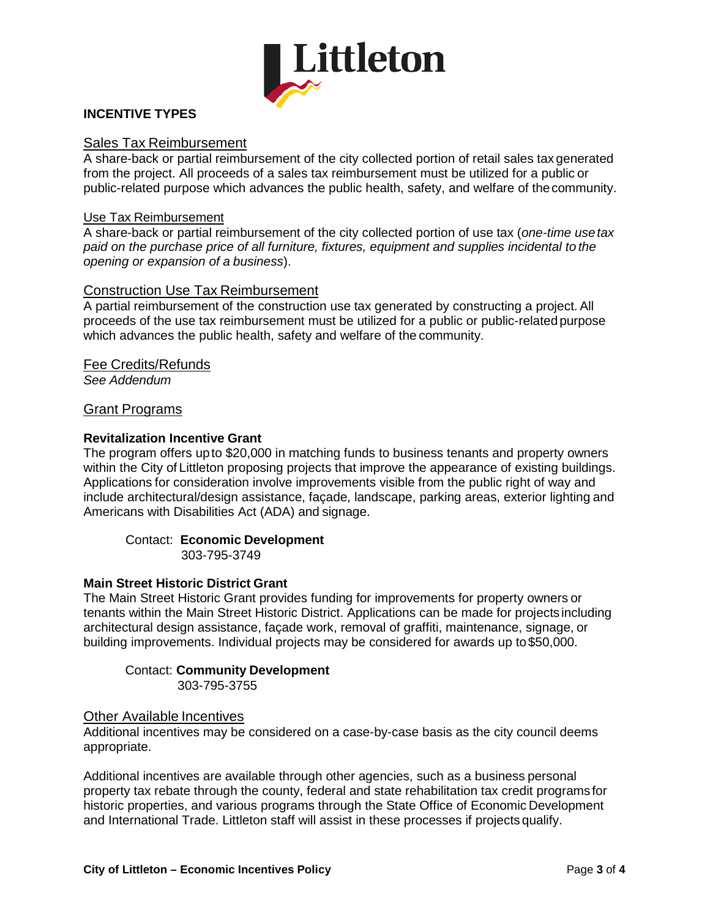

## **INCENTIVE TYPES**

## Sales Tax Reimbursement

A share-back or partial reimbursement of the city collected portion of retail sales tax generated from the project. All proceeds of a sales tax reimbursement must be utilized for a public or public-related purpose which advances the public health, safety, and welfare of thecommunity.

### Use Tax Reimbursement

A share-back or partial reimbursement of the city collected portion of use tax (*one-time usetax paid on the purchase price of all furniture, fixtures, equipment and supplies incidental to the opening or expansion of a business*).

### Construction Use Tax Reimbursement

A partial reimbursement of the construction use tax generated by constructing a project. All proceeds of the use tax reimbursement must be utilized for a public or public-related purpose which advances the public health, safety and welfare of the community.

## Fee Credits/Refunds

*See Addendum*

# Grant Programs

### **Revitalization Incentive Grant**

The program offers upto \$20,000 in matching funds to business tenants and property owners within the City of Littleton proposing projects that improve the appearance of existing buildings. Applications for consideration involve improvements visible from the public right of way and include architectural/design assistance, façade, landscape, parking areas, exterior lighting and Americans with Disabilities Act (ADA) and signage.

## Contact: **Economic Development**

303-795-3749

### **Main Street Historic District Grant**

The Main Street Historic Grant provides funding for improvements for property owners or tenants within the Main Street Historic District. Applications can be made for projects including architectural design assistance, façade work, removal of graffiti, maintenance, signage, or building improvements. Individual projects may be considered for awards up to\$50,000.

### Contact: **Community Development** 303-795-3755

## Other Available Incentives

Additional incentives may be considered on a case-by-case basis as the city council deems appropriate.

Additional incentives are available through other agencies, such as a business personal property tax rebate through the county, federal and state rehabilitation tax credit programs for historic properties, and various programs through the State Office of Economic Development and International Trade. Littleton staff will assist in these processes if projects qualify.